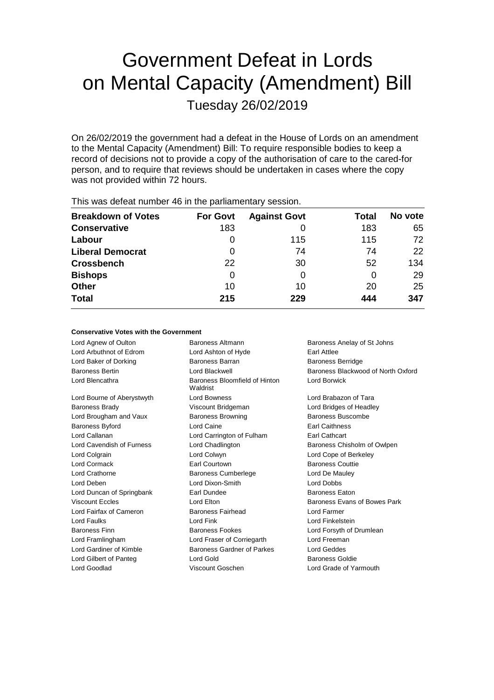# Government Defeat in Lords on Mental Capacity (Amendment) Bill Tuesday 26/02/2019

On 26/02/2019 the government had a defeat in the House of Lords on an amendment to the Mental Capacity (Amendment) Bill: To require responsible bodies to keep a record of decisions not to provide a copy of the authorisation of care to the cared-for person, and to require that reviews should be undertaken in cases where the copy was not provided within 72 hours.

| <b>Breakdown of Votes</b> | <b>For Govt</b> | <b>Against Govt</b> | Total | No vote |  |  |
|---------------------------|-----------------|---------------------|-------|---------|--|--|
| <b>Conservative</b>       | 183             |                     | 183   | 65      |  |  |
| Labour                    | 0               | 115                 | 115   | 72      |  |  |
| <b>Liberal Democrat</b>   | 0               | 74                  | 74    | 22      |  |  |
| <b>Crossbench</b>         | 22              | 30                  | 52    | 134     |  |  |
| <b>Bishops</b>            | 0               | 0                   | O     | 29      |  |  |
| <b>Other</b>              | 10              | 10                  | 20    | 25      |  |  |
| <b>Total</b>              | 215             | 229                 | 444   | 347     |  |  |
|                           |                 |                     |       |         |  |  |

This was defeat number 46 in the parliamentary session.

## **Conservative Votes with the Government**

Lord Agnew of Oulton **Baroness Altmann** Baroness Altmann Baroness Anelay of St Johns Lord Arbuthnot of Edrom Lord Ashton of Hyde Earl Attlee Lord Baker of Dorking **Baroness Barran** Baroness Barran Baroness Berridge Lord Blencathra **Baroness** Bloomfield of Hinton Lord Bourne of Aberystwyth Lord Bowness Lord Brabazon of Tara Baroness Brady **State Communist Communist Communist Communist Communist Communist Communist Communist Communist Communist Communist Communist Communist Communist Communist Communist Communist Communist Communist Communist** Lord Brougham and Vaux **Baroness Browning** Baroness Buscombe Baroness Byford Lord Caine Earl Caithness Lord Callanan Lord Carrington of Fulham Earl Cathcart Lord Cavendish of Furness Lord Chadlington Baroness Chisholm of Owlpen Lord Colgrain Lord Colwyn Lord Cope of Berkeley Lord Cormack **Earl Courtown** Earl Courtown Baroness Couttie Lord Crathorne Baroness Cumberlege Lord De Mauley Lord Deben Lord Dixon-Smith Lord Dobbs Lord Duncan of Springbank Earl Dundee **Earl Baroness Eaton** Viscount Eccles **Lord Elton** Lord Elton Baroness Evans of Bowes Park Lord Fairfax of Cameron Baroness Fairhead Lord Farmer Lord Faulks Lord Fink Lord Finkelstein Baroness Finn **Baroness Fookes** Lord Forsyth of Drumlean Lord Framlingham Lord Fraser of Corriegarth Lord Freeman Lord Gardiner of Kimble Baroness Gardner of Parkes Lord Geddes Lord Gilbert of Panteg **Lord Gold** Baroness Goldie

Waldrist Lord Goodlad Viscount Goschen Lord Grade of Yarmouth

Baroness Bertin **Baroness Bertin** Lord Blackwell **Baroness Blackwood of North Oxford** Lord Borwick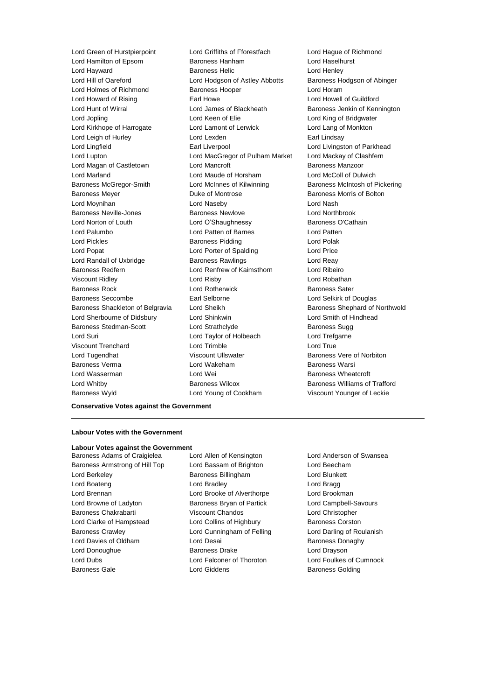Lord Hamilton of Epsom Baroness Hanham Lord Haselhurst Lord Hayward Baroness Helic Lord Henley Lord Hill of Oareford Lord Hodgson of Astley Abbotts Baroness Hodgson of Abinger Lord Holmes of Richmond Baroness Hooper Lord Horam Lord Howard of Rising Earl Howe Lord Howell of Guildford Lord Hunt of Wirral **Lord James of Blackheath** Baroness Jenkin of Kennington Lord Jopling **Lord Keen of Elie** Lord Keen Club Lord King of Bridgwater Lord Kirkhope of Harrogate Lord Lamont of Lerwick Lord Lang of Monkton Lord Leigh of Hurley **Lord Lexden** Earl Lindsay Lord Lingfield **Earl Liverpool** Earl Liverpool **Lord Livingston of Parkhead** Lord Lupton Lord MacGregor of Pulham Market Lord Mackay of Clashfern Lord Magan of Castletown **Lord Mancroft Condensity** Baroness Manzoor Lord Marland Lord Maude of Horsham Lord McColl of Dulwich Baroness McGregor-Smith Lord McInnes of Kilwinning Baroness McIntosh of Pickering Baroness Meyer **Baroness Mortis Community** Duke of Montrose **Baroness Morris of Bolton** Lord Moynihan Lord Naseby Lord Nash Baroness Neville-Jones **Baroness Newlove Lord Northbrook** Lord Norton of Louth Lord O'Shaughnessy Baroness O'Cathain Lord Palumbo Lord Patten of Barnes Lord Patten Lord Pickles **Baroness Pidding Lord Polak** Lord Popat Lord Porter of Spalding Lord Price Lord Randall of Uxbridge Baroness Rawlings Lord Reay Baroness Redfern Lord Renfrew of Kaimsthorn Lord Ribeiro Viscount Ridley Lord Risby Lord Robathan Baroness Rock **Lord Rotherwick** Baroness Sater Baroness Seccombe Earl Selborne Lord Selkirk of Douglas Baroness Shackleton of Belgravia Lord Sheikh Baroness Shephard of Northwold Lord Sherbourne of Didsbury Lord Shinkwin Lord Smith of Hindhead Baroness Stedman-Scott **Lord Strathclyde** Baroness Sugg Lord Suri Lord Taylor of Holbeach Lord Trefgarne Viscount Trenchard Lord Trimble Lord True Lord Tugendhat **Matter State Viscount Ullswater** Baroness Vere of Norbiton Baroness Verma Lord Wakeham Baroness Warsi Lord Wasserman Lord Wei Baroness Wheatcroft Lord Whitby **Baroness Wilcox** Baroness Wilcox **Baroness Williams of Trafford** 

Lord Green of Hurstpierpoint Lord Griffiths of Fforestfach Lord Hague of Richmond Baroness Wyld Lord Young of Cookham Viscount Younger of Leckie

# **Conservative Votes against the Government**

## **Labour Votes with the Government**

#### **Labour Votes against the Government**

Baroness Adams of Craigielea Lord Allen of Kensington Lord Anderson of Swansea Baroness Armstrong of Hill Top Lord Bassam of Brighton Lord Beecham Lord Berkeley Baroness Billingham Lord Blunkett Lord Boateng **Lord Bradley Lord Bradley Lord Bragg** Lord Brennan Lord Brooke of Alverthorpe Lord Brookman Lord Browne of Ladyton **Baroness Bryan of Partick** Lord Campbell-Savours Baroness Chakrabarti Viscount Chandos Lord Christopher Lord Clarke of Hampstead Lord Collins of Highbury Baroness Corston Baroness Crawley **Lord Cunningham of Felling Carol** Lord Darling of Roulanish Lord Davies of Oldham **Lord Desai** Baroness Donaghy Lord Donoughue **Baroness Drake** Lord Drayson Lord Dubs Lord Falconer of Thoroton Lord Foulkes of Cumnock Baroness Gale **Baroness Golding** Lord Giddens **Baroness Golding**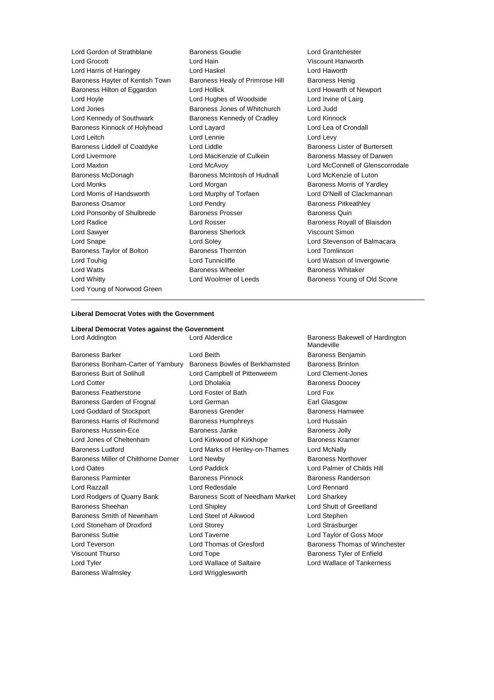Lord Gordon of Strathblane Baroness Goudie Lord Grantchester Lord Grocott Lord Hain Viscount Hanworth Lord Harris of Haringey Lord Haskel Lord Haworth Baroness Hayter of Kentish Town Baroness Healy of Primrose Hill Baroness Henig Baroness Hilton of Eggardon Lord Hollick Lord Hollick Lord Howarth of Newport Lord Hoyle **Lord Hughes of Woodside** Lord Irvine of Lairg<br>
Lord Jones **Lord Lord Allen Lord Judd**<br>
Lord Judd Lord Judd **Baroness Jones of Whitchurch** Lord Judd Lord Kennedy of Southwark Baroness Kennedy of Cradley Lord Kinnock Baroness Kinnock of Holyhead Lord Layard Lord Lea of Crondall Lord Leitch Lord Lennie Lord Levy Baroness Liddell of Coatdyke Lord Liddle Lord Baroness Lister of Burtersett Lord Livermore **Lord MacKenzie of Culkein** Baroness Massey of Darwen Lord Maxton Lord McAvoy Lord McConnell of Glenscorrodale Baroness McDonagh Baroness McIntosh of Hudnall Lord McKenzie of Luton Lord Monks Lord Morgan Baroness Morris of Yardley Lord Morris of Handsworth Lord Murphy of Torfaen Lord O'Neill of Clackmannan Baroness Osamor **Baroness Community** Lord Pendry **Baroness Pricess Pitkeathley** Lord Ponsonby of Shulbrede Baroness Prosser Baroness Quin Lord Radice **Lord Rosser** Communications Contains Lord Rosser **Baroness Royall of Blaisdon** Lord Sawyer **Baroness Sherlock Viscount Simon** Lord Snape Lord Soley Lord Stevenson of Balmacara Baroness Taylor of Bolton **Baroness Thornton** Baroness Thornton **Baroness** Thornton **Baroness** Thornton **Lord Tomlinson** Lord Touhig **Lord Tunnicliffe** Lord Tunnicliffe Lord Watson of Invergowrie Lord Watts **Baroness Wheeler** Baroness Wheeler **Baroness Whitaker** Lord Whitty Lord Woolmer of Leeds Baroness Young of Old Scone Lord Young of Norwood Green

Lord Jones Baroness Jones of Whitchurch Lord Judd

## **Liberal Democrat Votes with the Government**

**Liberal Democrat Votes against the Government** Lord Addington **Lord Alderdice** Baroness Bakewell of Hardington

Baroness Barker Lord Beith Baroness Benjamin Baroness Bonham-Carter of Yarnbury Baroness Bowles of Berkhamsted Baroness Brinton Baroness Burt of Solihull Lord Campbell of Pittenweem Lord Clement-Jones Lord Cotter **Lord Dholakia** Baroness Doocey Baroness Featherstone Lord Foster of Bath Lord Fox Baroness Garden of Frognal Lord German **Earl Glasgow** Earl Glasgow Lord Goddard of Stockport **Baroness Grender** Baroness Hamwee Baroness Harris of Richmond Baroness Humphreys Lord Hussain Baroness Hussein-Ece **Baroness Janke** Baroness Jolly Lord Jones of Cheltenham Lord Kirkwood of Kirkhope Baroness Kramer Baroness Ludford Lord Marks of Henley-on-Thames Lord McNally Baroness Miller of Chilthorne Domer Lord Newby **Baroness Northover** Baroness Northover Lord Oates Lord Paddick Lord Palmer of Childs Hill Baroness Parminter **Baroness Parminter** Baroness Pinnock **Baroness Randerson** Lord Razzall Lord Redesdale Lord Rennard Lord Rodgers of Quarry Bank Baroness Scott of Needham Market Lord Sharkey Baroness Sheehan Lord Shipley Lord Shutt of Greetland Baroness Smith of Newnham Lord Steel of Aikwood Lord Stephen Lord Stoneham of Droxford Lord Storey Lord Strasburger Baroness Suttie Lord Taverne Lord Taylor of Goss Moor Lord Teverson Lord Thomas of Gresford Baroness Thomas of Winchester Viscount Thurso **Communist Contract Communist Contract Contract Contract Contract Contract Contract Contract Contract Contract Contract Contract Contract Contract Contract Contract Contract Contract Contract Contract Contr** Lord Tyler Lord Wallace of Saltaire Lord Wallace of Tankerness Baroness Walmsley **Lord Wrigglesworth** 

Mandeville